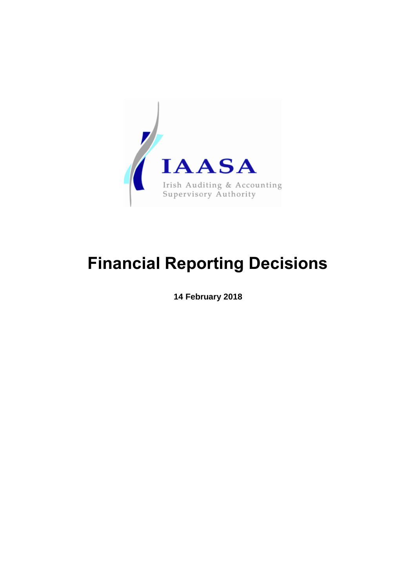

# **Financial Reporting Decisions**

**14 February 2018**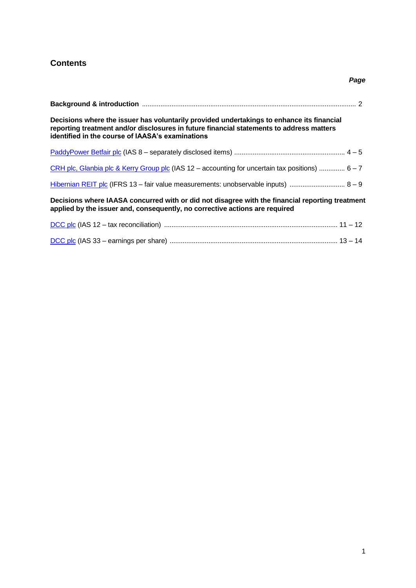## <span id="page-1-0"></span>**Contents**

## *Page*

| Decisions where the issuer has voluntarily provided undertakings to enhance its financial<br>reporting treatment and/or disclosures in future financial statements to address matters<br>identified in the course of IAASA's examinations |
|-------------------------------------------------------------------------------------------------------------------------------------------------------------------------------------------------------------------------------------------|
|                                                                                                                                                                                                                                           |
| CRH plc, Glanbia plc & Kerry Group plc (IAS $12 -$ accounting for uncertain tax positions) $6 - 7$                                                                                                                                        |
| Hibernian REIT plc (IFRS 13 - fair value measurements: unobservable inputs) $8 - 9$                                                                                                                                                       |
| Decisions where IAASA concurred with or did not disagree with the financial reporting treatment<br>applied by the issuer and, consequently, no corrective actions are required                                                            |
|                                                                                                                                                                                                                                           |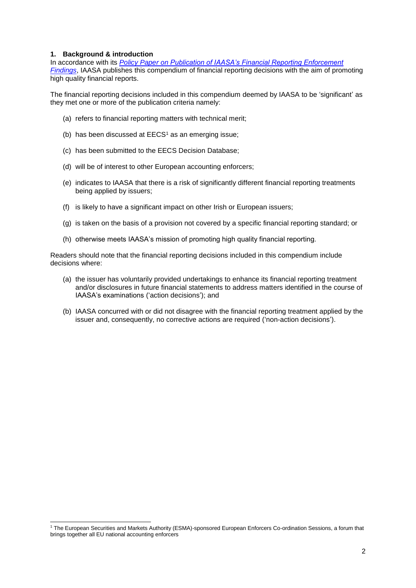#### **1. Background & introduction**

1

In accordance with its *[Policy Paper on Publication of IAASA's Financial Reporting Enforcement](http://www.iaasa.ie/getmedia/2a32b035-ca80-4a46-bbb6-067c5b0e9ea4/Revised-IAASA-Publications-Policy-Paper-final-21jun16.pdf?ext=.pdf)  [Findings](http://www.iaasa.ie/getmedia/2a32b035-ca80-4a46-bbb6-067c5b0e9ea4/Revised-IAASA-Publications-Policy-Paper-final-21jun16.pdf?ext=.pdf)*, IAASA publishes this compendium of financial reporting decisions with the aim of promoting high quality financial reports.

The financial reporting decisions included in this compendium deemed by IAASA to be 'significant' as they met one or more of the publication criteria namely:

- (a) refers to financial reporting matters with technical merit;
- (b) has been discussed at  $EECS<sup>1</sup>$  as an emerging issue;
- (c) has been submitted to the EECS Decision Database;
- (d) will be of interest to other European accounting enforcers;
- (e) indicates to IAASA that there is a risk of significantly different financial reporting treatments being applied by issuers;
- (f) is likely to have a significant impact on other Irish or European issuers;
- (g) is taken on the basis of a provision not covered by a specific financial reporting standard; or
- (h) otherwise meets IAASA's mission of promoting high quality financial reporting.

Readers should note that the financial reporting decisions included in this compendium include decisions where:

- (a) the issuer has voluntarily provided undertakings to enhance its financial reporting treatment and/or disclosures in future financial statements to address matters identified in the course of IAASA's examinations ('action decisions'); and
- (b) IAASA concurred with or did not disagree with the financial reporting treatment applied by the issuer and, consequently, no corrective actions are required ('non-action decisions').

<sup>1</sup> The European Securities and Markets Authority (ESMA)-sponsored European Enforcers Co-ordination Sessions, a forum that brings together all EU national accounting enforcers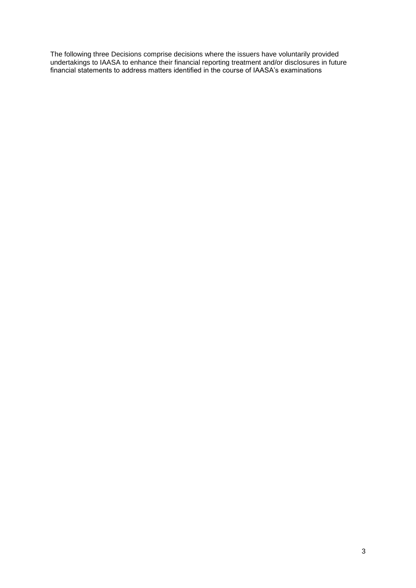The following three Decisions comprise decisions where the issuers have voluntarily provided undertakings to IAASA to enhance their financial reporting treatment and/or disclosures in future financial statements to address matters identified in the course of IAASA's examinations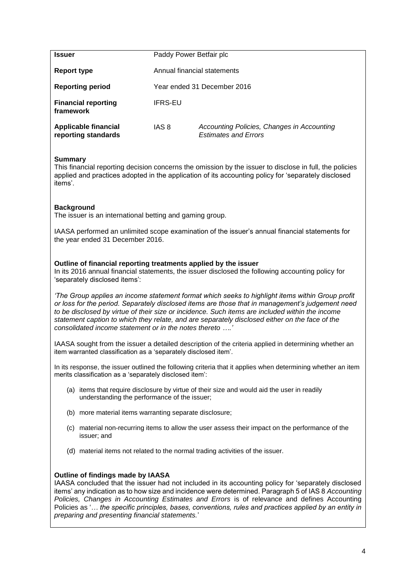<span id="page-4-0"></span>

| <b>Issuer</b>                                      | Paddy Power Betfair plc     |                                                                           |  |
|----------------------------------------------------|-----------------------------|---------------------------------------------------------------------------|--|
| Report type                                        | Annual financial statements |                                                                           |  |
| <b>Reporting period</b>                            | Year ended 31 December 2016 |                                                                           |  |
| <b>Financial reporting</b><br>framework            | IFRS-EU                     |                                                                           |  |
| <b>Applicable financial</b><br>reporting standards | IAS 8                       | Accounting Policies, Changes in Accounting<br><b>Estimates and Errors</b> |  |

This financial reporting decision concerns the omission by the issuer to disclose in full, the policies applied and practices adopted in the application of its accounting policy for 'separately disclosed items'.

## **Background**

The issuer is an international betting and gaming group.

IAASA performed an unlimited scope examination of the issuer's annual financial statements for the year ended 31 December 2016.

## **Outline of financial reporting treatments applied by the issuer**

In its 2016 annual financial statements, the issuer disclosed the following accounting policy for 'separately disclosed items':

*'The Group applies an income statement format which seeks to highlight items within Group profit or loss for the period. Separately disclosed items are those that in management's judgement need to be disclosed by virtue of their size or incidence. Such items are included within the income statement caption to which they relate, and are separately disclosed either on the face of the consolidated income statement or in the notes thereto ….'*

IAASA sought from the issuer a detailed description of the criteria applied in determining whether an item warranted classification as a 'separately disclosed item'.

In its response, the issuer outlined the following criteria that it applies when determining whether an item merits classification as a 'separately disclosed item':

- (a) items that require disclosure by virtue of their size and would aid the user in readily understanding the performance of the issuer;
- (b) more material items warranting separate disclosure;
- (c) material non-recurring items to allow the user assess their impact on the performance of the issuer; and
- (d) material items not related to the normal trading activities of the issuer.

## **Outline of findings made by IAASA**

IAASA concluded that the issuer had not included in its accounting policy for 'separately disclosed items' any indication as to how size and incidence were determined. Paragraph 5 of IAS 8 *Accounting Policies, Changes in Accounting Estimates and Errors* is of relevance and defines Accounting Policies as '*… the specific principles, bases, conventions, rules and practices applied by an entity in preparing and presenting financial statements.*'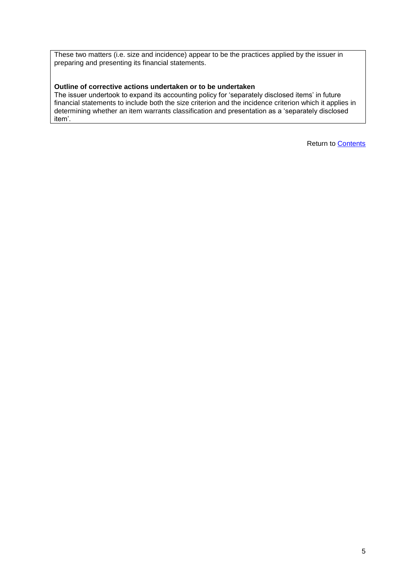These two matters (i.e. size and incidence) appear to be the practices applied by the issuer in preparing and presenting its financial statements.

## **Outline of corrective actions undertaken or to be undertaken**

The issuer undertook to expand its accounting policy for 'separately disclosed items' in future financial statements to include both the size criterion and the incidence criterion which it applies in determining whether an item warrants classification and presentation as a 'separately disclosed item'.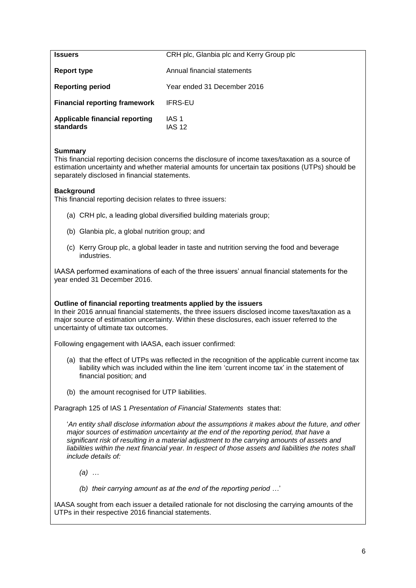<span id="page-6-0"></span>

| <b>Issuers</b>                              | CRH plc, Glanbia plc and Kerry Group plc |
|---------------------------------------------|------------------------------------------|
| Report type                                 | Annual financial statements              |
| <b>Reporting period</b>                     | Year ended 31 December 2016              |
| <b>Financial reporting framework</b>        | IFRS-EU                                  |
| Applicable financial reporting<br>standards | IAS 1<br><b>IAS 12</b>                   |

This financial reporting decision concerns the disclosure of income taxes/taxation as a source of estimation uncertainty and whether material amounts for uncertain tax positions (UTPs) should be separately disclosed in financial statements.

## **Background**

This financial reporting decision relates to three issuers:

- (a) CRH plc, a leading global diversified building materials group;
- (b) Glanbia plc, a global nutrition group; and
- (c) Kerry Group plc, a global leader in taste and nutrition serving the food and beverage industries.

IAASA performed examinations of each of the three issuers' annual financial statements for the year ended 31 December 2016.

#### **Outline of financial reporting treatments applied by the issuers**

In their 2016 annual financial statements, the three issuers disclosed income taxes/taxation as a major source of estimation uncertainty. Within these disclosures, each issuer referred to the uncertainty of ultimate tax outcomes.

Following engagement with IAASA, each issuer confirmed:

- (a) that the effect of UTPs was reflected in the recognition of the applicable current income tax liability which was included within the line item 'current income tax' in the statement of financial position; and
- (b) the amount recognised for UTP liabilities.

Paragraph 125 of IAS 1 *Presentation of Financial Statements* states that:

'*An entity shall disclose information about the assumptions it makes about the future, and other major sources of estimation uncertainty at the end of the reporting period, that have a significant risk of resulting in a material adjustment to the carrying amounts of assets and*  liabilities within the next financial year. In respect of those assets and liabilities the notes shall *include details of:*

*(a) …*

*(b) their carrying amount as at the end of the reporting period …*'

IAASA sought from each issuer a detailed rationale for not disclosing the carrying amounts of the UTPs in their respective 2016 financial statements.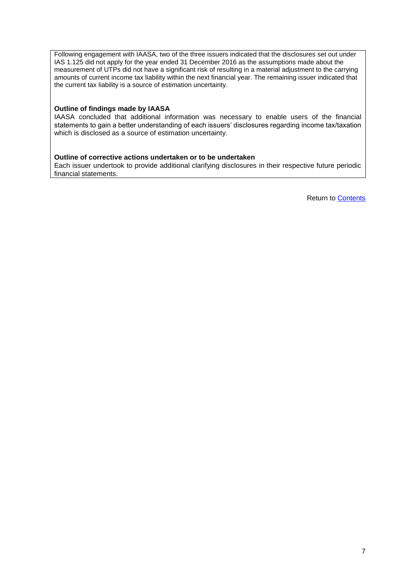Following engagement with IAASA, two of the three issuers indicated that the disclosures set out under IAS 1.125 did not apply for the year ended 31 December 2016 as the assumptions made about the measurement of UTPs did not have a significant risk of resulting in a material adjustment to the carrying amounts of current income tax liability within the next financial year. The remaining issuer indicated that the current tax liability is a source of estimation uncertainty.

#### **Outline of findings made by IAASA**

IAASA concluded that additional information was necessary to enable users of the financial statements to gain a better understanding of each issuers' disclosures regarding income tax/taxation which is disclosed as a source of estimation uncertainty.

#### **Outline of corrective actions undertaken or to be undertaken**

Each issuer undertook to provide additional clarifying disclosures in their respective future periodic financial statements.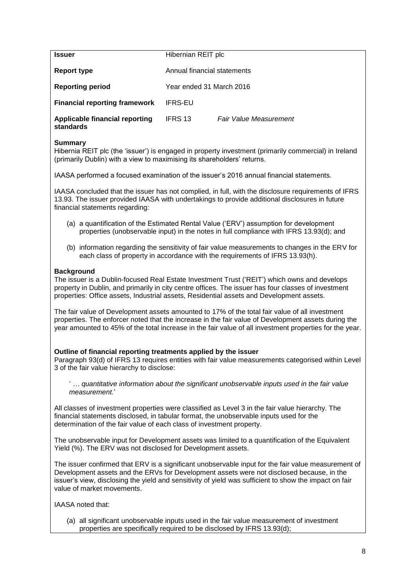<span id="page-8-0"></span>

| <b>Issuer</b>                                      | Hibernian REIT plc          |                          |  |  |
|----------------------------------------------------|-----------------------------|--------------------------|--|--|
| Report type                                        | Annual financial statements |                          |  |  |
| <b>Reporting period</b>                            |                             | Year ended 31 March 2016 |  |  |
| <b>Financial reporting framework</b>               | <b>IFRS-EU</b>              |                          |  |  |
| <b>Applicable financial reporting</b><br>standards | <b>IFRS 13</b>              | Fair Value Measurement   |  |  |

Hibernia REIT plc (the 'issuer') is engaged in property investment (primarily commercial) in Ireland (primarily Dublin) with a view to maximising its shareholders' returns.

IAASA performed a focused examination of the issuer's 2016 annual financial statements.

IAASA concluded that the issuer has not complied, in full, with the disclosure requirements of IFRS 13.93. The issuer provided IAASA with undertakings to provide additional disclosures in future financial statements regarding:

- (a) a quantification of the Estimated Rental Value ('ERV') assumption for development properties (unobservable input) in the notes in full compliance with IFRS 13.93(d); and
- (b) information regarding the sensitivity of fair value measurements to changes in the ERV for each class of property in accordance with the requirements of IFRS 13.93(h).

#### **Background**

The issuer is a Dublin-focused Real Estate Investment Trust ('REIT') which owns and develops property in Dublin, and primarily in city centre offices. The issuer has four classes of investment properties: Office assets, Industrial assets, Residential assets and Development assets.

The fair value of Development assets amounted to 17% of the total fair value of all investment properties. The enforcer noted that the increase in the fair value of Development assets during the year amounted to 45% of the total increase in the fair value of all investment properties for the year.

#### **Outline of financial reporting treatments applied by the issuer**

Paragraph 93(d) of IFRS 13 requires entities with fair value measurements categorised within Level 3 of the fair value hierarchy to disclose:

' *… quantitative information about the significant unobservable inputs used in the fair value measurement.*'

All classes of investment properties were classified as Level 3 in the fair value hierarchy. The financial statements disclosed, in tabular format, the unobservable inputs used for the determination of the fair value of each class of investment property.

The unobservable input for Development assets was limited to a quantification of the Equivalent Yield (%). The ERV was not disclosed for Development assets.

The issuer confirmed that ERV is a significant unobservable input for the fair value measurement of Development assets and the ERVs for Development assets were not disclosed because, in the issuer's view, disclosing the yield and sensitivity of yield was sufficient to show the impact on fair value of market movements.

IAASA noted that:

(a) all significant unobservable inputs used in the fair value measurement of investment properties are specifically required to be disclosed by IFRS 13.93(d);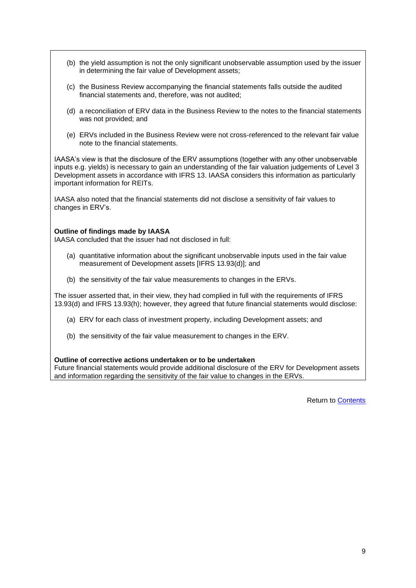- (b) the yield assumption is not the only significant unobservable assumption used by the issuer in determining the fair value of Development assets;
- (c) the Business Review accompanying the financial statements falls outside the audited financial statements and, therefore, was not audited;
- (d) a reconciliation of ERV data in the Business Review to the notes to the financial statements was not provided; and
- (e) ERVs included in the Business Review were not cross-referenced to the relevant fair value note to the financial statements.

IAASA's view is that the disclosure of the ERV assumptions (together with any other unobservable inputs e.g. yields) is necessary to gain an understanding of the fair valuation judgements of Level 3 Development assets in accordance with IFRS 13. IAASA considers this information as particularly important information for REITs.

IAASA also noted that the financial statements did not disclose a sensitivity of fair values to changes in ERV's.

#### **Outline of findings made by IAASA**

IAASA concluded that the issuer had not disclosed in full:

- (a) quantitative information about the significant unobservable inputs used in the fair value measurement of Development assets [IFRS 13.93(d)]; and
- (b) the sensitivity of the fair value measurements to changes in the ERVs.

The issuer asserted that, in their view, they had complied in full with the requirements of IFRS 13.93(d) and IFRS 13.93(h); however, they agreed that future financial statements would disclose:

- (a) ERV for each class of investment property, including Development assets; and
- (b) the sensitivity of the fair value measurement to changes in the ERV.

#### **Outline of corrective actions undertaken or to be undertaken**

Future financial statements would provide additional disclosure of the ERV for Development assets and information regarding the sensitivity of the fair value to changes in the ERVs.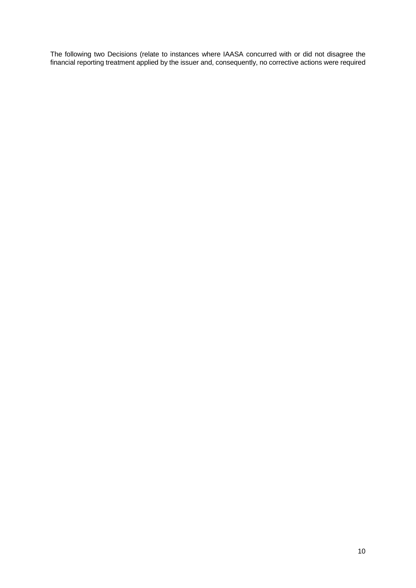The following two Decisions (relate to instances where IAASA concurred with or did not disagree the financial reporting treatment applied by the issuer and, consequently, no corrective actions were required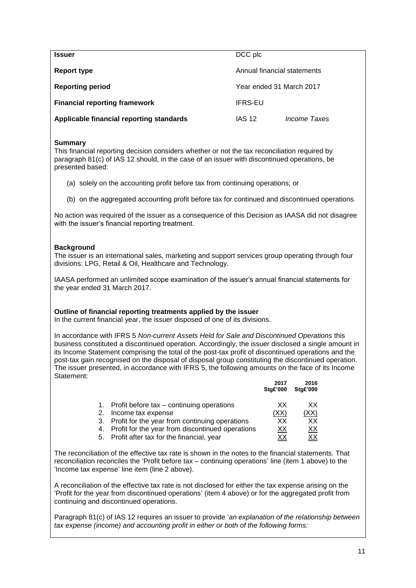<span id="page-11-0"></span>

| <b>Issuer</b>                            | DCC plc                     |                     |
|------------------------------------------|-----------------------------|---------------------|
| Report type                              | Annual financial statements |                     |
| <b>Reporting period</b>                  | Year ended 31 March 2017    |                     |
| <b>Financial reporting framework</b>     | <b>IFRS-EU</b>              |                     |
| Applicable financial reporting standards | <b>IAS 12</b>               | <i>Income Taxes</i> |

This financial reporting decision considers whether or not the tax reconciliation required by paragraph 81(c) of IAS 12 should, in the case of an issuer with discontinued operations, be presented based:

- (a) solely on the accounting profit before tax from continuing operations; or
- (b) on the aggregated accounting profit before tax for continued and discontinued operations.

No action was required of the issuer as a consequence of this Decision as IAASA did not disagree with the issuer's financial reporting treatment.

## **Background**

The issuer is an international sales, marketing and support services group operating through four divisions: LPG, Retail & Oil, Healthcare and Technology.

IAASA performed an unlimited scope examination of the issuer's annual financial statements for the year ended 31 March 2017.

#### **Outline of financial reporting treatments applied by the issuer**

In the current financial year, the issuer disposed of one of its divisions.

In accordance with IFRS 5 *Non-current Assets Held for Sale and Discontinued Operations* this business constituted a discontinued operation. Accordingly, the issuer disclosed a single amount in its Income Statement comprising the total of the post-tax profit of discontinued operations and the post-tax gain recognised on the disposal of disposal group constituting the discontinued operation. The issuer presented, in accordance with IFRS 5, the following amounts on the face of its Income Statement:

|    |                                                   | 2017<br><b>Stg£'000</b> | 2016<br><b>Stg£'000</b> |
|----|---------------------------------------------------|-------------------------|-------------------------|
|    | Profit before tax – continuing operations         | XX                      | xх                      |
| 2. | Income tax expense                                | (XX)                    | (XX)                    |
|    | 3. Profit for the year from continuing operations | XХ                      | XХ                      |
|    | Profit for the year from discontinued operations  | <u>XX</u>               | <u>XX</u>               |
|    | 5. Profit after tax for the financial, year       | XХ                      | XХ                      |

The reconciliation of the effective tax rate is shown in the notes to the financial statements. That reconciliation reconciles the 'Profit before tax – continuing operations' line (item 1 above) to the 'Income tax expense' line item (line 2 above).

A reconciliation of the effective tax rate is not disclosed for either the tax expense arising on the 'Profit for the year from discontinued operations' (item 4 above) or for the aggregated profit from continuing and discontinued operations.

Paragraph 81(c) of IAS 12 requires an issuer to provide '*an explanation of the relationship between tax expense (income) and accounting profit in either or both of the following forms:*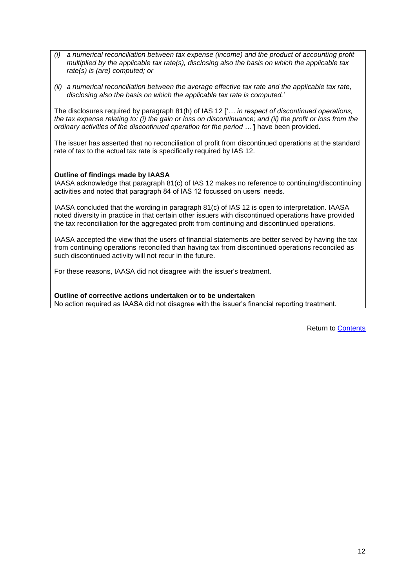- *(i) a numerical reconciliation between tax expense (income) and the product of accounting profit multiplied by the applicable tax rate(s), disclosing also the basis on which the applicable tax rate(s) is (are) computed; or*
- *(ii) a numerical reconciliation between the average effective tax rate and the applicable tax rate, disclosing also the basis on which the applicable tax rate is computed.*'

The disclosures required by paragraph 81(h) of IAS 12 ['*… in respect of discontinued operations, the tax expense relating to: (i) the gain or loss on discontinuance; and (ii) the profit or loss from the ordinary activities of the discontinued operation for the period …'*] have been provided.

The issuer has asserted that no reconciliation of profit from discontinued operations at the standard rate of tax to the actual tax rate is specifically required by IAS 12.

## **Outline of findings made by IAASA**

IAASA acknowledge that paragraph 81(c) of IAS 12 makes no reference to continuing/discontinuing activities and noted that paragraph 84 of IAS 12 focussed on users' needs.

IAASA concluded that the wording in paragraph 81(c) of IAS 12 is open to interpretation. IAASA noted diversity in practice in that certain other issuers with discontinued operations have provided the tax reconciliation for the aggregated profit from continuing and discontinued operations.

IAASA accepted the view that the users of financial statements are better served by having the tax from continuing operations reconciled than having tax from discontinued operations reconciled as such discontinued activity will not recur in the future.

For these reasons, IAASA did not disagree with the issuer's treatment.

**Outline of corrective actions undertaken or to be undertaken** No action required as IAASA did not disagree with the issuer's financial reporting treatment.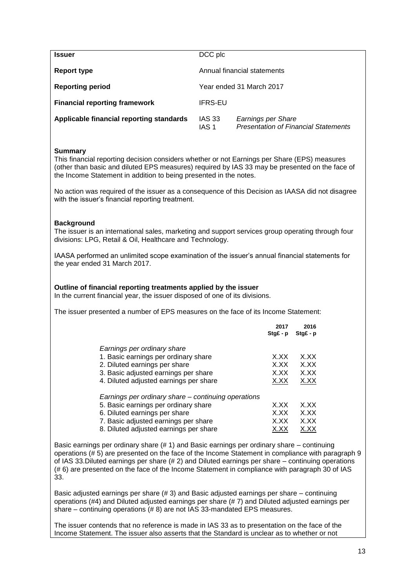<span id="page-13-0"></span>

| <b>Issuer</b>                            | DCC plc         |                                                                   |
|------------------------------------------|-----------------|-------------------------------------------------------------------|
| Report type                              |                 | Annual financial statements                                       |
| <b>Reporting period</b>                  |                 | Year ended 31 March 2017                                          |
| <b>Financial reporting framework</b>     | <b>IFRS-EU</b>  |                                                                   |
| Applicable financial reporting standards | IAS 33<br>IAS 1 | Earnings per Share<br><b>Presentation of Financial Statements</b> |

This financial reporting decision considers whether or not Earnings per Share (EPS) measures (other than basic and diluted EPS measures) required by IAS 33 may be presented on the face of the Income Statement in addition to being presented in the notes.

No action was required of the issuer as a consequence of this Decision as IAASA did not disagree with the issuer's financial reporting treatment.

#### **Background**

The issuer is an international sales, marketing and support services group operating through four divisions: LPG, Retail & Oil, Healthcare and Technology.

IAASA performed an unlimited scope examination of the issuer's annual financial statements for the year ended 31 March 2017.

#### **Outline of financial reporting treatments applied by the issuer**

In the current financial year, the issuer disposed of one of its divisions.

The issuer presented a number of EPS measures on the face of its Income Statement:

|                                                     | 2017<br>$StgE - p$ | 2016<br>$StqE - p$ |
|-----------------------------------------------------|--------------------|--------------------|
|                                                     |                    |                    |
| Earnings per ordinary share                         |                    |                    |
| 1. Basic earnings per ordinary share                | X.XX               | X.XX               |
| 2. Diluted earnings per share                       | X.XX               | X.XX               |
| 3. Basic adjusted earnings per share                | X.XX               | X.XX               |
| 4. Diluted adjusted earnings per share              | X.XX               | X.XX               |
| Earnings per ordinary share – continuing operations |                    |                    |
| 5. Basic earnings per ordinary share                | X.XX               | X.XX               |
| 6. Diluted earnings per share                       | X.XX               | X.XX               |
| 7. Basic adjusted earnings per share                | X.XX               | X.XX               |
| 8. Diluted adjusted earnings per share              | X.XX               | X.XX               |

Basic earnings per ordinary share (# 1) and Basic earnings per ordinary share – continuing operations (# 5) are presented on the face of the Income Statement in compliance with paragraph 9 of IAS 33.Diluted earnings per share (# 2) and Diluted earnings per share – continuing operations (# 6) are presented on the face of the Income Statement in compliance with paragraph 30 of IAS 33.

Basic adjusted earnings per share (# 3) and Basic adjusted earnings per share – continuing operations (#4) and Diluted adjusted earnings per share (# 7) and Diluted adjusted earnings per share – continuing operations (#8) are not IAS 33-mandated EPS measures.

The issuer contends that no reference is made in IAS 33 as to presentation on the face of the Income Statement. The issuer also asserts that the Standard is unclear as to whether or not